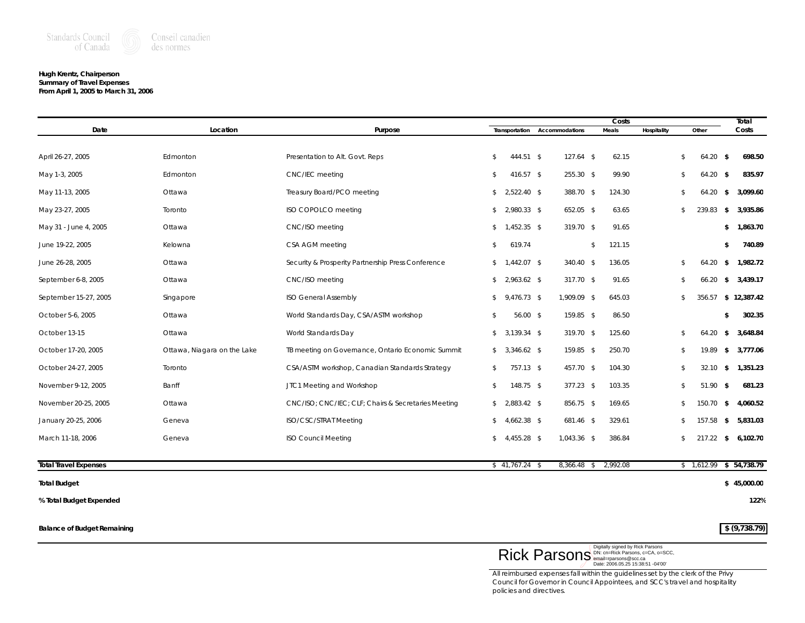

### **Hugh Krentz, Chairperson Summary of Travel Expenses From April 1, 2005 to March 31, 2006**

|                              |                             |                                                     |                  |                | Costs        |             |             | Total                    |
|------------------------------|-----------------------------|-----------------------------------------------------|------------------|----------------|--------------|-------------|-------------|--------------------------|
| Date                         | Location                    | Purpose                                             | Transportation   | Accommodations | Meals        | Hospitality | Other       | Costs                    |
|                              |                             |                                                     |                  |                |              |             |             |                          |
| April 26-27, 2005            | Edmonton                    | Presentation to Alt. Govt. Reps                     | 444.51 \$<br>\$  | $127.64$ \$    | 62.15        | \$          | 64.20       | 698.50<br>- \$           |
| May 1-3, 2005                | Edmonton                    | CNC/IEC meeting                                     | 416.57 \$<br>\$  | 255.30 \$      | 99.90        | \$          | 64.20       | $\sqrt{5}$<br>835.97     |
| May 11-13, 2005              | Ottawa                      | Treasury Board/PCO meeting                          | $$2,522.40$ \$   | 388.70 \$      | 124.30       | \$          | 64.20       | 3,099.60<br>\$           |
| May 23-27, 2005              | Toronto                     | ISO COPOLCO meeting                                 | $$2,980.33$ \$   | 652.05 \$      | 63.65        | \$          | 239.83      | 3,935.86<br>-\$          |
| May 31 - June 4, 2005        | Ottawa                      | CNC/ISO meeting                                     | $$1,452.35$ \$   | 319.70 \$      | 91.65        |             |             | \$ 1,863.70              |
| June 19-22, 2005             | Kelowna                     | CSA AGM meeting                                     | 619.74<br>\$     |                | 121.15<br>\$ |             |             | 740.89<br>\$             |
| June 26-28, 2005             | Ottawa                      | Security & Prosperity Partnership Press Conference  | $$1,442.07$ \$   | 340.40 \$      | 136.05       | \$          | 64.20       | 1,982.72<br>-\$          |
| September 6-8, 2005          | Ottawa                      | CNC/ISO meeting                                     | $$2,963.62$ \$   | 317.70 \$      | 91.65        | \$          | 66.20       | 3,439.17<br>\$           |
| September 15-27, 2005        | Singapore                   | <b>ISO General Assembly</b>                         | $$9,476.73$ \$   | 1,909.09 \$    | 645.03       | \$          | 356.57      | \$12,387.42              |
| October 5-6, 2005            | Ottawa                      | World Standards Day, CSA/ASTM workshop              | $56.00$ \$<br>\$ | 159.85 \$      | 86.50        |             |             | \$<br>302.35             |
| October 13-15                | Ottawa                      | World Standards Day                                 | $$3,139.34$ \$   | 319.70 \$      | 125.60       | \$          | 64.20       | \$<br>3,648.84           |
| October 17-20, 2005          | Ottawa, Niagara on the Lake | TB meeting on Governance, Ontario Economic Summit   | $$3,346.62$ \$   | 159.85 \$      | 250.70       | \$          | 19.89       | 3,777.06<br>\$           |
| October 24-27, 2005          | Toronto                     | CSA/ASTM workshop, Canadian Standards Strategy      | 757.13 \$<br>\$  | 457.70 \$      | 104.30       | \$          | 32.10       | \$ 1,351.23              |
| November 9-12, 2005          | Banff                       | JTC1 Meeting and Workshop                           | 148.75 \$<br>\$  | $377.23$ \$    | 103.35       | \$          | 51.90       | 681.23<br>-\$            |
| November 20-25, 2005         | Ottawa                      | CNC/ISO; CNC/IEC; CLF; Chairs & Secretaries Meeting | $$2,883.42$ \$   | 856.75 \$      | 169.65       | \$          | 150.70      | 4,060.52<br>-\$          |
| January 20-25, 2006          | Geneva                      | <b>ISO/CSC/STRAT Meeting</b>                        | $$4,662.38$ \$   | 681.46 \$      | 329.61       | \$          | 157.58      | $\sqrt{2}$<br>5,831.03   |
| March 11-18, 2006            | Geneva                      | <b>ISO Council Meeting</b>                          | $$4,455.28$ \$   | 1,043.36 \$    | 386.84       | \$          | $217.22$ \$ | 6,102.70                 |
|                              |                             |                                                     |                  |                |              |             |             |                          |
| <b>Total Travel Expenses</b> |                             |                                                     | $$41,767.24$ \$  | 8,366.48 \$    | 2,992.08     |             |             | $$1,612.99$ $$54,738.79$ |

### **Total Budget \$ 45,000.00**

**% Total Budget Expended 122%**

**Balance of Budget Remaining**  $\frac{1}{2}$  **(9,738.79)** 



*All reimbursed expenses fall within the guidelines set by the clerk of the Privy Council for Governor in Council Appointees, and SCC's travel and hospitality policies and directives.*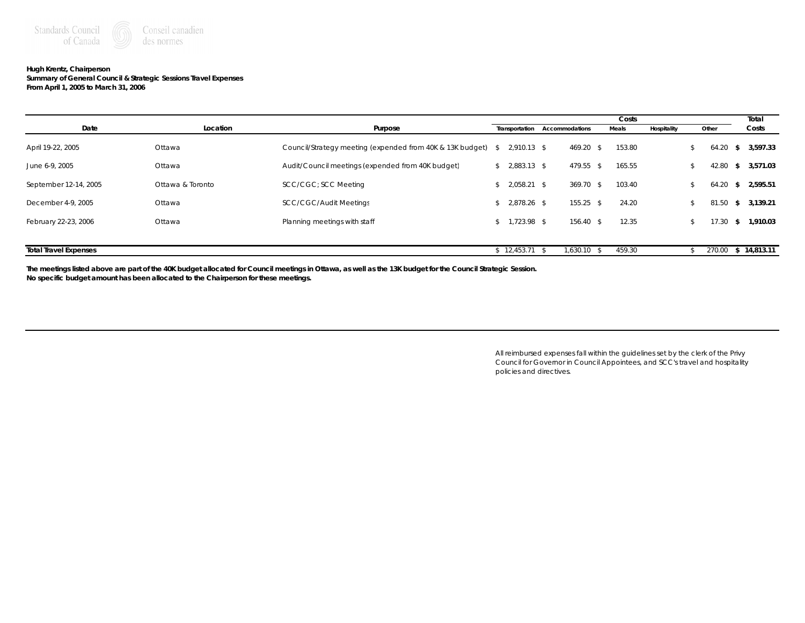

## **Hugh Krentz, Chairperson**

**Summary of General Council & Strategic Sessions Travel Expenses From April 1, 2005 to March 31, 2006**

|                              |                  |                                                              |                 |                               |      | Costs  |             |        |      | Total       |
|------------------------------|------------------|--------------------------------------------------------------|-----------------|-------------------------------|------|--------|-------------|--------|------|-------------|
| Date                         | Location         | Purpose                                                      |                 | Transportation Accommodations |      | Meals  | Hospitality | Other  |      | Costs       |
| April 19-22, 2005            | Ottawa           | Council/Strategy meeting (expended from 40K & 13K budget) \$ | 2,910.13 \$     | 469.20 \$                     |      | 153.80 |             | 64.20  | -S.  | 3,597.33    |
| June 6-9, 2005               | Ottawa           | Audit/Council meetings (expended from 40K budget)            | $$2,883.13$ \$  | 479.55 \$                     |      | 165.55 |             | 42.80  | -S   | 3,571.03    |
| September 12-14, 2005        | Ottawa & Toronto | SCC/CGC; SCC Meeting                                         | $$2.058.21$ \$  | $369.70$ \$                   |      | 103.40 |             | 64.20  | - \$ | 2,595.51    |
| December 4-9, 2005           | Ottawa           | <b>SCC/CGC/Audit Meetings</b>                                | $$2.878.26$ \$  | $155.25$ \$                   |      | 24.20  |             | 81.50  | -S   | 3,139.21    |
| February 22-23, 2006         | Ottawa           | Planning meetings with staff                                 | $$1,723.98$ \$  | 156.40 \$                     |      | 12.35  |             | 7.30.  | - 56 | 1,910.03    |
| <b>Total Travel Expenses</b> |                  |                                                              | $$12,453.71$ \; | 1,630.10                      | - \$ | 459.30 |             | 270.00 |      | \$14,813.11 |

**The meetings listed above are part of the 40K budget allocated for Council meetings in Ottawa, as well as the 13K budget for the Council Strategic Session. No specific budget amount has been allocated to the Chairperson for these meetings.**

> *All reimbursed expenses fall within the guidelines set by the clerk of the Privy Council for Governor in Council Appointees, and SCC's travel and hospitality policies and directives.*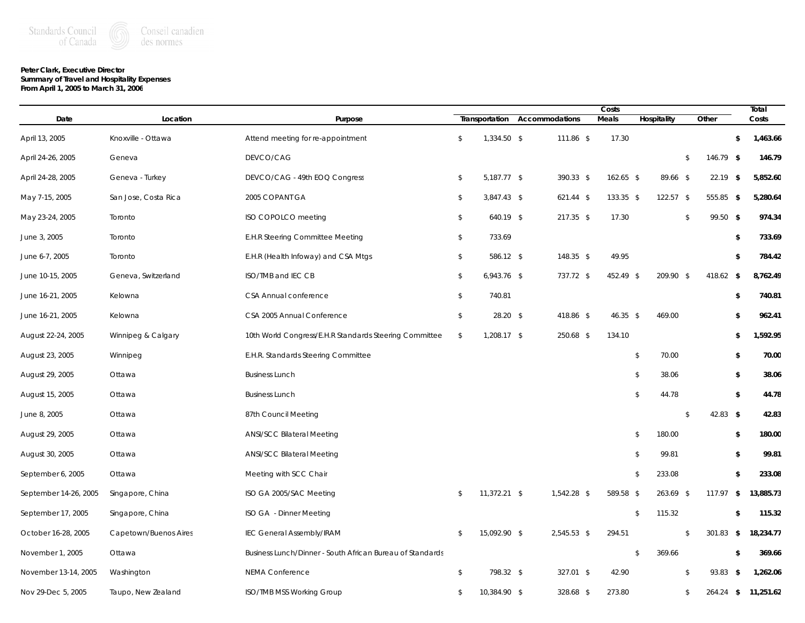# **Peter Clark, Executive Director**

**Summary of Travel and Hospitality Expenses From April 1, 2005 to March 31, 2006**

|                       |                       |                                                           |              |                |                |             | Costs        |                         |              |             | Total               |  |
|-----------------------|-----------------------|-----------------------------------------------------------|--------------|----------------|----------------|-------------|--------------|-------------------------|--------------|-------------|---------------------|--|
| Date                  | Location              | Purpose                                                   |              | Transportation | Accommodations |             | <b>Meals</b> | Hospitality             |              | Other       | Costs               |  |
| April 13, 2005        | Knoxville - Ottawa    | Attend meeting for re-appointment                         | $\mathbb{S}$ | 1,334.50 \$    |                | 111.86 \$   | 17.30        |                         |              |             | \$<br>1,463.66      |  |
| April 24-26, 2005     | Geneva                | DEVCO/CAG                                                 |              |                |                |             |              |                         | \$           | 146.79 \$   | 146.79              |  |
| April 24-28, 2005     | Geneva - Turkey       | DEVCO/CAG - 49th EOQ Congress                             | \$           | 5,187.77 \$    |                | 390.33 \$   | $162.65$ \$  | 89.66 \$                |              | $22.19$ \$  | 5,852.60            |  |
| May 7-15, 2005        | San Jose, Costa Rica  | 2005 COPANT GA                                            | \$           | 3,847.43 \$    |                | $621.44$ \$ | 133.35 \$    | $122.57$ \$             |              | 555.85 \$   | 5,280.64            |  |
| May 23-24, 2005       | Toronto               | ISO COPOLCO meeting                                       | \$           | 640.19 \$      |                | $217.35$ \$ | 17.30        |                         | \$           | 99.50 \$    | 974.34              |  |
| June 3, 2005          | Toronto               | E.H.R Steering Committee Meeting                          | \$           | 733.69         |                |             |              |                         |              |             | \$<br>733.69        |  |
| June 6-7, 2005        | Toronto               | E.H.R (Health Infoway) and CSA Mtgs                       | \$           | 586.12 \$      |                | 148.35 \$   | 49.95        |                         |              |             | \$<br>784.42        |  |
| June 10-15, 2005      | Geneva, Switzerland   | ISO/TMB and IEC CB                                        | \$           | $6,943.76$ \$  |                | 737.72 \$   | 452.49 \$    | 209.90 \$               |              | 418.62 \$   | 8,762.49            |  |
| June 16-21, 2005      | Kelowna               | CSA Annual conference                                     | \$           | 740.81         |                |             |              |                         |              |             | \$<br>740.81        |  |
| June 16-21, 2005      | Kelowna               | CSA 2005 Annual Conference                                | \$           | $28.20$ \$     |                | 418.86 \$   | $46.35$ \$   | 469.00                  |              |             | \$<br>962.41        |  |
| August 22-24, 2005    | Winnipeg & Calgary    | 10th World Congress/E.H.R Standards Steering Committee    | \$           | 1,208.17 \$    |                | 250.68 \$   | 134.10       |                         |              |             | \$<br>1,592.95      |  |
| August 23, 2005       | Winnipeg              | E.H.R. Standards Steering Committee                       |              |                |                |             |              | \$<br>70.00             |              |             | \$<br>70.00         |  |
| August 29, 2005       | Ottawa                | <b>Business Lunch</b>                                     |              |                |                |             |              | \$<br>38.06             |              |             | \$<br>38.06         |  |
| August 15, 2005       | Ottawa                | <b>Business Lunch</b>                                     |              |                |                |             |              | \$<br>44.78             |              |             | \$<br>44.78         |  |
| June 8, 2005          | Ottawa                | 87th Council Meeting                                      |              |                |                |             |              |                         | $\mathbb{S}$ | 42.83 \$    | 42.83               |  |
| August 29, 2005       | Ottawa                | <b>ANSI/SCC Bilateral Meeting</b>                         |              |                |                |             |              | \$<br>180.00            |              |             | \$<br>180.00        |  |
| August 30, 2005       | Ottawa                | <b>ANSI/SCC Bilateral Meeting</b>                         |              |                |                |             |              | \$<br>99.81             |              |             | \$<br>99.81         |  |
| September 6, 2005     | Ottawa                | Meeting with SCC Chair                                    |              |                |                |             |              | \$<br>233.08            |              |             | \$<br>233.08        |  |
| September 14-26, 2005 | Singapore, China      | ISO GA 2005/SAC Meeting                                   | \$           | 11,372.21 \$   |                | 1,542.28 \$ | 589.58 \$    | 263.69 \$               |              | $117.97$ \$ | 13,885.73           |  |
| September 17, 2005    | Singapore, China      | ISO GA - Dinner Meeting                                   |              |                |                |             |              | $\sqrt[6]{2}$<br>115.32 |              |             | \$<br>115.32        |  |
| October 16-28, 2005   | Capetown/Buenos Aires | <b>IEC General Assembly/IRAM</b>                          | \$           | 15,092.90 \$   |                | 2,545.53 \$ | 294.51       |                         | \$           | 301.83 \$   | 18,234.77           |  |
| November 1, 2005      | Ottawa                | Business Lunch/Dinner - South African Bureau of Standards |              |                |                |             |              | \$<br>369.66            |              |             | \$<br>369.66        |  |
| November 13-14, 2005  | Washington            | <b>NEMA Conference</b>                                    | $\mathbb{S}$ | 798.32 \$      |                | 327.01 \$   | 42.90        |                         | $\mathbb{S}$ | $93.83$ \$  | 1,262.06            |  |
| Nov 29-Dec 5, 2005    | Taupo, New Zealand    | ISO/TMB MSS Working Group                                 | \$           | 10,384.90 \$   |                | 328.68 \$   | 273.80       |                         | \$           |             | 264.24 \$ 11,251.62 |  |